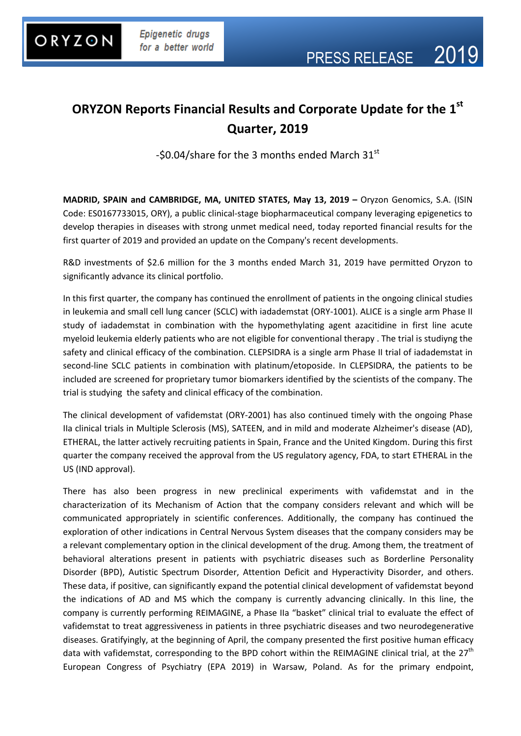

## **ORYZON Reports Financial Results and Corporate Update for the 1 st Quarter, 2019**

-\$0.04/share for the 3 months ended March 31st

**MADRID, SPAIN and CAMBRIDGE, MA, UNITED STATES, May 13, 2019 –** Oryzon Genomics, S.A. (ISIN Code: ES0167733015, ORY), a public clinical-stage biopharmaceutical company leveraging epigenetics to develop therapies in diseases with strong unmet medical need, today reported financial results for the first quarter of 2019 and provided an update on the Company's recent developments.

R&D investments of \$2.6 million for the 3 months ended March 31, 2019 have permitted Oryzon to significantly advance its clinical portfolio.

In this first quarter, the company has continued the enrollment of patients in the ongoing clinical studies in leukemia and small cell lung cancer (SCLC) with iadademstat (ORY-1001). ALICE is a single arm Phase II study of iadademstat in combination with the hypomethylating agent azacitidine in first line acute myeloid leukemia elderly patients who are not eligible for conventional therapy . The trial is studiyng the safety and clinical efficacy of the combination. CLEPSIDRA is a single arm Phase II trial of iadademstat in second-line SCLC patients in combination with platinum/etoposide. In CLEPSIDRA, the patients to be included are screened for proprietary tumor biomarkers identified by the scientists of the company. The trial is studying the safety and clinical efficacy of the combination.

The clinical development of vafidemstat (ORY-2001) has also continued timely with the ongoing Phase IIa clinical trials in Multiple Sclerosis (MS), SATEEN, and in mild and moderate Alzheimer's disease (AD), ETHERAL, the latter actively recruiting patients in Spain, France and the United Kingdom. During this first quarter the company received the approval from the US regulatory agency, FDA, to start ETHERAL in the US (IND approval).

There has also been progress in new preclinical experiments with vafidemstat and in the characterization of its Mechanism of Action that the company considers relevant and which will be communicated appropriately in scientific conferences. Additionally, the company has continued the exploration of other indications in Central Nervous System diseases that the company considers may be a relevant complementary option in the clinical development of the drug. Among them, the treatment of behavioral alterations present in patients with psychiatric diseases such as Borderline Personality Disorder (BPD), Autistic Spectrum Disorder, Attention Deficit and Hyperactivity Disorder, and others. These data, if positive, can significantly expand the potential clinical development of vafidemstat beyond the indications of AD and MS which the company is currently advancing clinically. In this line, the company is currently performing REIMAGINE, a Phase IIa "basket" clinical trial to evaluate the effect of vafidemstat to treat aggressiveness in patients in three psychiatric diseases and two neurodegenerative diseases. Gratifyingly, at the beginning of April, the company presented the first positive human efficacy data with vafidemstat, corresponding to the BPD cohort within the REIMAGINE clinical trial, at the 27<sup>th</sup> European Congress of Psychiatry (EPA 2019) in Warsaw, Poland. As for the primary endpoint,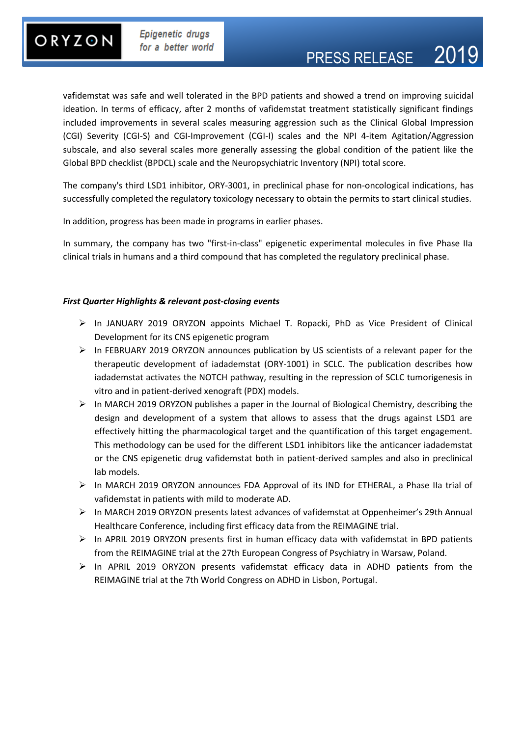# ORYZON

vafidemstat was safe and well tolerated in the BPD patients and showed a trend on improving suicidal ideation. In terms of efficacy, after 2 months of vafidemstat treatment statistically significant findings included improvements in several scales measuring aggression such as the Clinical Global Impression (CGI) Severity (CGI-S) and CGI-Improvement (CGI-I) scales and the NPI 4-item Agitation/Aggression subscale, and also several scales more generally assessing the global condition of the patient like the Global BPD checklist (BPDCL) scale and the Neuropsychiatric Inventory (NPI) total score.

The company's third LSD1 inhibitor, ORY-3001, in preclinical phase for non-oncological indications, has successfully completed the regulatory toxicology necessary to obtain the permits to start clinical studies.

In addition, progress has been made in programs in earlier phases.

In summary, the company has two "first-in-class" epigenetic experimental molecules in five Phase IIa clinical trials in humans and a third compound that has completed the regulatory preclinical phase.

### *First Quarter Highlights & relevant post-closing events*

- In JANUARY 2019 ORYZON appoints Michael T. Ropacki, PhD as Vice President of Clinical Development for its CNS epigenetic program
- $\triangleright$  In FEBRUARY 2019 ORYZON announces publication by US scientists of a relevant paper for the therapeutic development of iadademstat (ORY-1001) in SCLC. The publication describes how iadademstat activates the NOTCH pathway, resulting in the repression of SCLC tumorigenesis in vitro and in patient-derived xenograft (PDX) models.
- $\triangleright$  In MARCH 2019 ORYZON publishes a paper in the Journal of Biological Chemistry, describing the design and development of a system that allows to assess that the drugs against LSD1 are effectively hitting the pharmacological target and the quantification of this target engagement. This methodology can be used for the different LSD1 inhibitors like the anticancer iadademstat or the CNS epigenetic drug vafidemstat both in patient-derived samples and also in preclinical lab models.
- $\triangleright$  In MARCH 2019 ORYZON announces FDA Approval of its IND for ETHERAL, a Phase IIa trial of vafidemstat in patients with mild to moderate AD.
- $\triangleright$  In MARCH 2019 ORYZON presents latest advances of vafidemstat at Oppenheimer's 29th Annual Healthcare Conference, including first efficacy data from the REIMAGINE trial.
- $\triangleright$  In APRIL 2019 ORYZON presents first in human efficacy data with vafidemstat in BPD patients from the REIMAGINE trial at the 27th European Congress of Psychiatry in Warsaw, Poland.
- $\triangleright$  In APRIL 2019 ORYZON presents vafidemstat efficacy data in ADHD patients from the REIMAGINE trial at the 7th World Congress on ADHD in Lisbon, Portugal.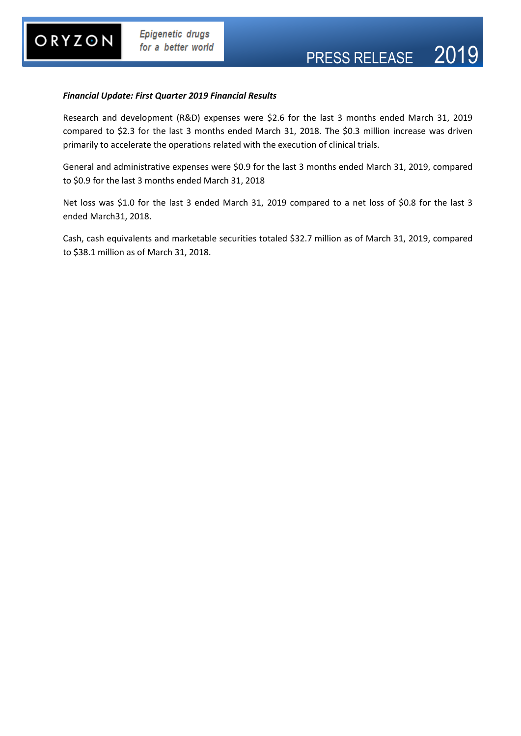#### *Financial Update: First Quarter 2019 Financial Results*

Research and development (R&D) expenses were \$2.6 for the last 3 months ended March 31, 2019 compared to \$2.3 for the last 3 months ended March 31, 2018. The \$0.3 million increase was driven primarily to accelerate the operations related with the execution of clinical trials.

General and administrative expenses were \$0.9 for the last 3 months ended March 31, 2019, compared to \$0.9 for the last 3 months ended March 31, 2018

Net loss was \$1.0 for the last 3 ended March 31, 2019 compared to a net loss of \$0.8 for the last 3 ended March31, 2018.

Cash, cash equivalents and marketable securities totaled \$32.7 million as of March 31, 2019, compared to \$38.1 million as of March 31, 2018.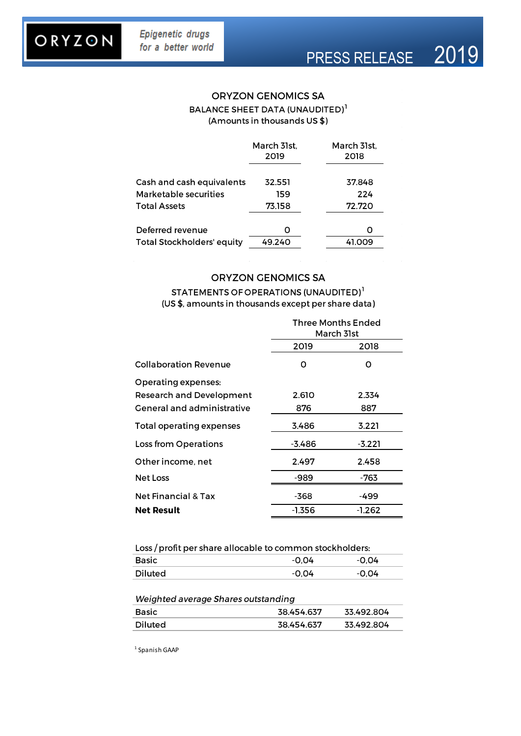# ORYZON

### **ORYZON GENOMICS SA** BALANCE SHEET DATA (UNAUDITED)<sup>1</sup> (Amounts in thousands US \$)

|                                   | March 31st,<br>2019 | March 31st,<br>2018 |
|-----------------------------------|---------------------|---------------------|
| Cash and cash equivalents         | 32.551              | 37.848              |
| Marketable securities             | 159                 | 224                 |
| <b>Total Assets</b>               | 73.158              | 72.720              |
| Deferred revenue                  | Ω                   | Ω                   |
|                                   |                     |                     |
| <b>Total Stockholders' equity</b> | 49.240              | 41.009              |

#### **ORYZON GENOMICS SA**

### STATEMENTS OF OPERATIONS (UNAUDITED)<sup>1</sup> (US \$, amounts in thousands except per share data)

|                                                                                      | Three Months Ended<br>March 31st |              |
|--------------------------------------------------------------------------------------|----------------------------------|--------------|
|                                                                                      | 2019                             | 2018         |
| <b>Collaboration Revenue</b>                                                         | 0                                | ი            |
| Operating expenses:<br><b>Research and Development</b><br>General and administrative | 2.610<br>876                     | 2.334<br>887 |
| <b>Total operating expenses</b>                                                      | 3.486                            | 3.221        |
| Loss from Operations                                                                 | -3.486                           | $-3.221$     |
| Other income, net                                                                    | 2.497                            | 2.458        |
| <b>Net Loss</b>                                                                      | -989                             | -763         |
| <b>Net Financial &amp; Tax</b>                                                       | -368                             | -499         |
| <b>Net Result</b>                                                                    | -1.356                           | -1.262       |

| Loss / profit per share allocable to common stockholders: |       |         |  |
|-----------------------------------------------------------|-------|---------|--|
| Basic                                                     | -0.04 | $-0.04$ |  |
| Diluted                                                   | -0.04 | -0.04   |  |

| Weighted average Shares outstanding |            |            |  |
|-------------------------------------|------------|------------|--|
| Basic                               | 38.454.637 | 33.492.804 |  |
| Diluted                             | 38.454.637 | 33.492.804 |  |

 $1$  Spanish GAAP